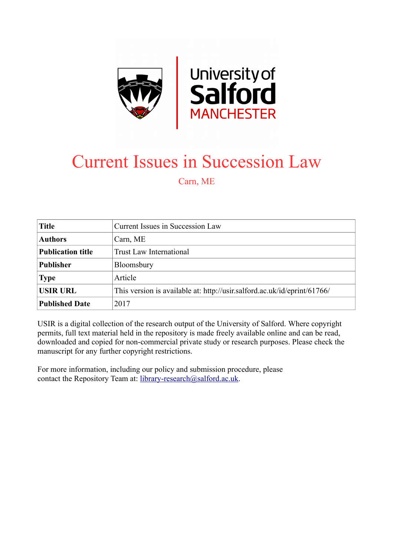

## Current Issues in Succession Law

Carn, ME

| <b>Title</b>             | Current Issues in Succession Law                                         |
|--------------------------|--------------------------------------------------------------------------|
| <b>Authors</b>           | Carn, ME                                                                 |
| <b>Publication title</b> | <b>Trust Law International</b>                                           |
| <b>Publisher</b>         | Bloomsbury                                                               |
| <b>Type</b>              | Article                                                                  |
| <b>USIR URL</b>          | This version is available at: http://usir.salford.ac.uk/id/eprint/61766/ |
| <b>Published Date</b>    | 2017                                                                     |

USIR is a digital collection of the research output of the University of Salford. Where copyright permits, full text material held in the repository is made freely available online and can be read, downloaded and copied for non-commercial private study or research purposes. Please check the manuscript for any further copyright restrictions.

For more information, including our policy and submission procedure, please contact the Repository Team at: [library-research@salford.ac.uk.](mailto:library-research@salford.ac.uk)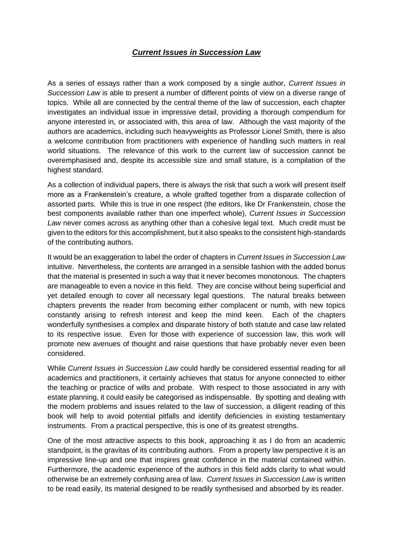## *Current Issues in Succession Law*

As a series of essays rather than a work composed by a single author, *Current Issues in Succession Law* is able to present a number of different points of view on a diverse range of topics. While all are connected by the central theme of the law of succession, each chapter investigates an individual issue in impressive detail, providing a thorough compendium for anyone interested in, or associated with, this area of law. Although the vast majority of the authors are academics, including such heavyweights as Professor Lionel Smith, there is also a welcome contribution from practitioners with experience of handling such matters in real world situations. The relevance of this work to the current law of succession cannot be overemphasised and, despite its accessible size and small stature, is a compilation of the highest standard.

As a collection of individual papers, there is always the risk that such a work will present itself more as a Frankenstein's creature, a whole grafted together from a disparate collection of assorted parts. While this is true in one respect (the editors, like Dr Frankenstein, chose the best components available rather than one imperfect whole), *Current Issues in Succession Law* never comes across as anything other than a cohesive legal text. Much credit must be given to the editors for this accomplishment, but it also speaks to the consistent high-standards of the contributing authors.

It would be an exaggeration to label the order of chapters in *Current Issues in Succession Law*  intuitive. Nevertheless, the contents are arranged in a sensible fashion with the added bonus that the material is presented in such a way that it never becomes monotonous. The chapters are manageable to even a novice in this field. They are concise without being superficial and yet detailed enough to cover all necessary legal questions. The natural breaks between chapters prevents the reader from becoming either complacent or numb, with new topics constantly arising to refresh interest and keep the mind keen. Each of the chapters wonderfully synthesises a complex and disparate history of both statute and case law related to its respective issue. Even for those with experience of succession law, this work will promote new avenues of thought and raise questions that have probably never even been considered.

While *Current Issues in Succession Law* could hardly be considered essential reading for all academics and practitioners, it certainly achieves that status for anyone connected to either the teaching or practice of wills and probate. With respect to those associated in any with estate planning, it could easily be categorised as indispensable. By spotting and dealing with the modern problems and issues related to the law of succession, a diligent reading of this book will help to avoid potential pitfalls and identify deficiencies in existing testamentary instruments. From a practical perspective, this is one of its greatest strengths.

One of the most attractive aspects to this book, approaching it as I do from an academic standpoint, is the gravitas of its contributing authors. From a property law perspective it is an impressive line-up and one that inspires great confidence in the material contained within. Furthermore, the academic experience of the authors in this field adds clarity to what would otherwise be an extremely confusing area of law. *Current Issues in Succession Law* is written to be read easily, its material designed to be readily synthesised and absorbed by its reader.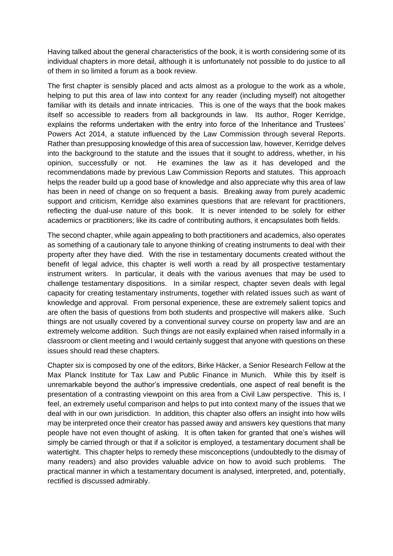Having talked about the general characteristics of the book, it is worth considering some of its individual chapters in more detail, although it is unfortunately not possible to do justice to all of them in so limited a forum as a book review.

The first chapter is sensibly placed and acts almost as a prologue to the work as a whole, helping to put this area of law into context for any reader (including myself) not altogether familiar with its details and innate intricacies. This is one of the ways that the book makes itself so accessible to readers from all backgrounds in law. Its author, Roger Kerridge, explains the reforms undertaken with the entry into force of the Inheritance and Trustees' Powers Act 2014, a statute influenced by the Law Commission through several Reports. Rather than presupposing knowledge of this area of succession law, however, Kerridge delves into the background to the statute and the issues that it sought to address, whether, in his opinion, successfully or not. He examines the law as it has developed and the recommendations made by previous Law Commission Reports and statutes. This approach helps the reader build up a good base of knowledge and also appreciate why this area of law has been in need of change on so frequent a basis. Breaking away from purely academic support and criticism, Kerridge also examines questions that are relevant for practitioners, reflecting the dual-use nature of this book. It is never intended to be solely for either academics or practitioners; like its cadre of contributing authors, it encapsulates both fields.

The second chapter, while again appealing to both practitioners and academics, also operates as something of a cautionary tale to anyone thinking of creating instruments to deal with their property after they have died. With the rise in testamentary documents created without the benefit of legal advice, this chapter is well worth a read by all prospective testamentary instrument writers. In particular, it deals with the various avenues that may be used to challenge testamentary dispositions. In a similar respect, chapter seven deals with legal capacity for creating testamentary instruments, together with related issues such as want of knowledge and approval. From personal experience, these are extremely salient topics and are often the basis of questions from both students and prospective will makers alike. Such things are not usually covered by a conventional survey course on property law and are an extremely welcome addition. Such things are not easily explained when raised informally in a classroom or client meeting and I would certainly suggest that anyone with questions on these issues should read these chapters.

Chapter six is composed by one of the editors, Birke Häcker, a Senior Research Fellow at the Max Planck Institute for Tax Law and Public Finance in Munich. While this by itself is unremarkable beyond the author's impressive credentials, one aspect of real benefit is the presentation of a contrasting viewpoint on this area from a Civil Law perspective. This is, I feel, an extremely useful comparison and helps to put into context many of the issues that we deal with in our own jurisdiction. In addition, this chapter also offers an insight into how wills may be interpreted once their creator has passed away and answers key questions that many people have not even thought of asking. It is often taken for granted that one's wishes will simply be carried through or that if a solicitor is employed, a testamentary document shall be watertight. This chapter helps to remedy these misconceptions (undoubtedly to the dismay of many readers) and also provides valuable advice on how to avoid such problems. The practical manner in which a testamentary document is analysed, interpreted, and, potentially, rectified is discussed admirably.